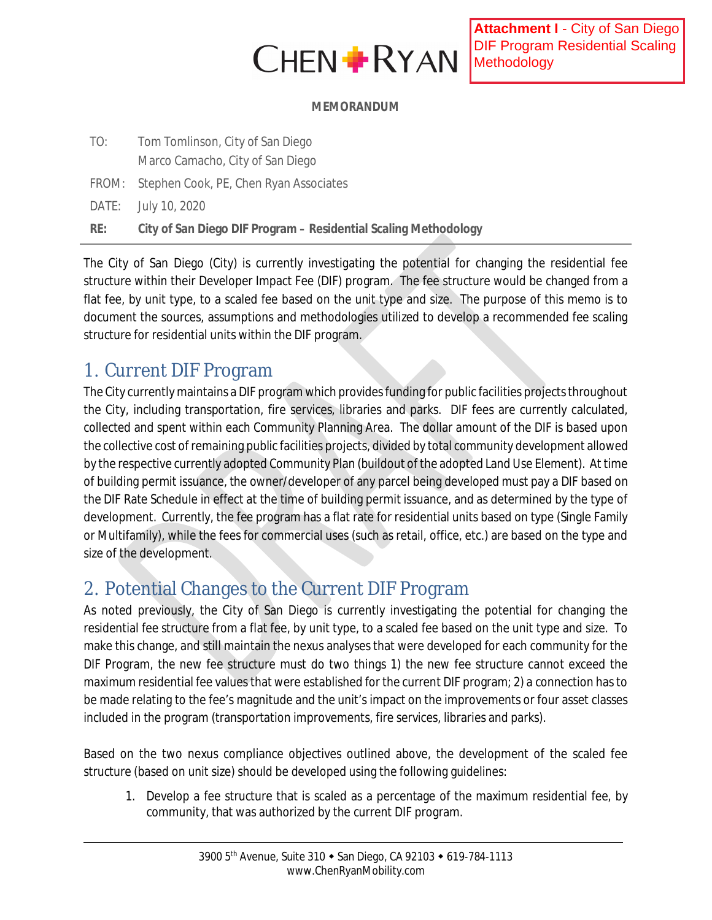

#### **MEMORANDUM**

| TO: | Tom Tomlinson, City of San Diego                                |
|-----|-----------------------------------------------------------------|
|     | Marco Camacho, City of San Diego                                |
|     | FROM: Stephen Cook, PE, Chen Ryan Associates                    |
|     | DATE: July 10, 2020                                             |
| RE: | City of San Diego DIF Program - Residential Scaling Methodology |

The City of San Diego (City) is currently investigating the potential for changing the residential fee structure within their Developer Impact Fee (DIF) program. The fee structure would be changed from a flat fee, by unit type, to a scaled fee based on the unit type and size. The purpose of this memo is to document the sources, assumptions and methodologies utilized to develop a recommended fee scaling structure for residential units within the DIF program.

## 1. Current DIF Program

The City currently maintains a DIF program which provides funding for public facilities projects throughout the City, including transportation, fire services, libraries and parks. DIF fees are currently calculated, collected and spent within each Community Planning Area. The dollar amount of the DIF is based upon the collective cost of remaining public facilities projects, divided by total community development allowed by the respective currently adopted Community Plan (buildout of the adopted Land Use Element). At time of building permit issuance, the owner/developer of any parcel being developed must pay a DIF based on the DIF Rate Schedule in effect at the time of building permit issuance, and as determined by the type of development. Currently, the fee program has a flat rate for residential units based on type (Single Family or Multifamily), while the fees for commercial uses (such as retail, office, etc.) are based on the type and size of the development.

# 2. Potential Changes to the Current DIF Program

As noted previously, the City of San Diego is currently investigating the potential for changing the residential fee structure from a flat fee, by unit type, to a scaled fee based on the unit type and size. To make this change, and still maintain the nexus analyses that were developed for each community for the DIF Program, the new fee structure must do two things 1) the new fee structure cannot exceed the maximum residential fee values that were established for the current DIF program; 2) a connection has to be made relating to the fee's magnitude and the unit's impact on the improvements or four asset classes included in the program (transportation improvements, fire services, libraries and parks).

Based on the two nexus compliance objectives outlined above, the development of the scaled fee structure (based on unit size) should be developed using the following guidelines:

1. Develop a fee structure that is scaled as a percentage of the maximum residential fee, by community, that was authorized by the current DIF program.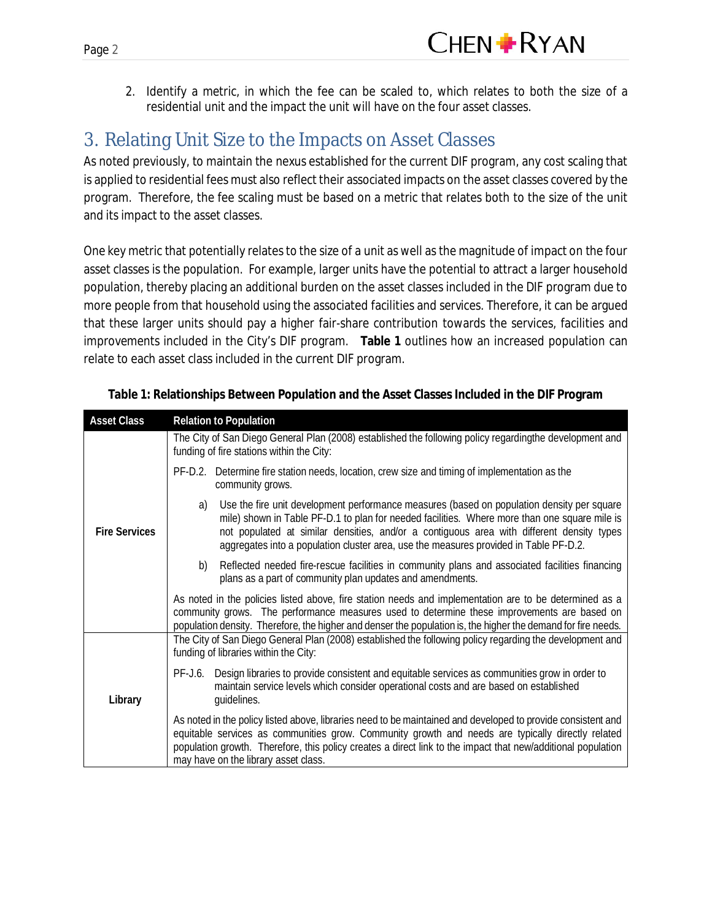2. Identify a metric, in which the fee can be scaled to, which relates to both the size of a residential unit and the impact the unit will have on the four asset classes.

### 3. Relating Unit Size to the Impacts on Asset Classes

As noted previously, to maintain the nexus established for the current DIF program, any cost scaling that is applied to residential fees must also reflect their associated impacts on the asset classes covered by the program. Therefore, the fee scaling must be based on a metric that relates both to the size of the unit and its impact to the asset classes.

One key metric that potentially relates to the size of a unit as well as the magnitude of impact on the four asset classes is the population. For example, larger units have the potential to attract a larger household population, thereby placing an additional burden on the asset classes included in the DIF program due to more people from that household using the associated facilities and services. Therefore, it can be argued that these larger units should pay a higher fair-share contribution towards the services, facilities and improvements included in the City's DIF program. **Table 1** outlines how an increased population can relate to each asset class included in the current DIF program.

| <b>Asset Class</b>   | <b>Relation to Population</b>                                                                                                                                                                                                                                                                                                                                                           |
|----------------------|-----------------------------------------------------------------------------------------------------------------------------------------------------------------------------------------------------------------------------------------------------------------------------------------------------------------------------------------------------------------------------------------|
|                      | The City of San Diego General Plan (2008) established the following policy regardingthe development and<br>funding of fire stations within the City:                                                                                                                                                                                                                                    |
|                      | PF-D.2. Determine fire station needs, location, crew size and timing of implementation as the<br>community grows.                                                                                                                                                                                                                                                                       |
| <b>Fire Services</b> | Use the fire unit development performance measures (based on population density per square<br>a)<br>mile) shown in Table PF-D.1 to plan for needed facilities. Where more than one square mile is<br>not populated at similar densities, and/or a contiguous area with different density types<br>aggregates into a population cluster area, use the measures provided in Table PF-D.2. |
|                      | Reflected needed fire-rescue facilities in community plans and associated facilities financing<br>b)<br>plans as a part of community plan updates and amendments.                                                                                                                                                                                                                       |
|                      | As noted in the policies listed above, fire station needs and implementation are to be determined as a<br>community grows. The performance measures used to determine these improvements are based on<br>population density. Therefore, the higher and denser the population is, the higher the demand for fire needs.                                                                  |
| Library              | The City of San Diego General Plan (2008) established the following policy regarding the development and<br>funding of libraries within the City:                                                                                                                                                                                                                                       |
|                      | Design libraries to provide consistent and equitable services as communities grow in order to<br>PF-J.6.<br>maintain service levels which consider operational costs and are based on established<br>guidelines.                                                                                                                                                                        |
|                      | As noted in the policy listed above, libraries need to be maintained and developed to provide consistent and<br>equitable services as communities grow. Community growth and needs are typically directly related<br>population growth. Therefore, this policy creates a direct link to the impact that new/additional population<br>may have on the library asset class.               |

**Table 1: Relationships Between Population and the Asset Classes Included in the DIF Program**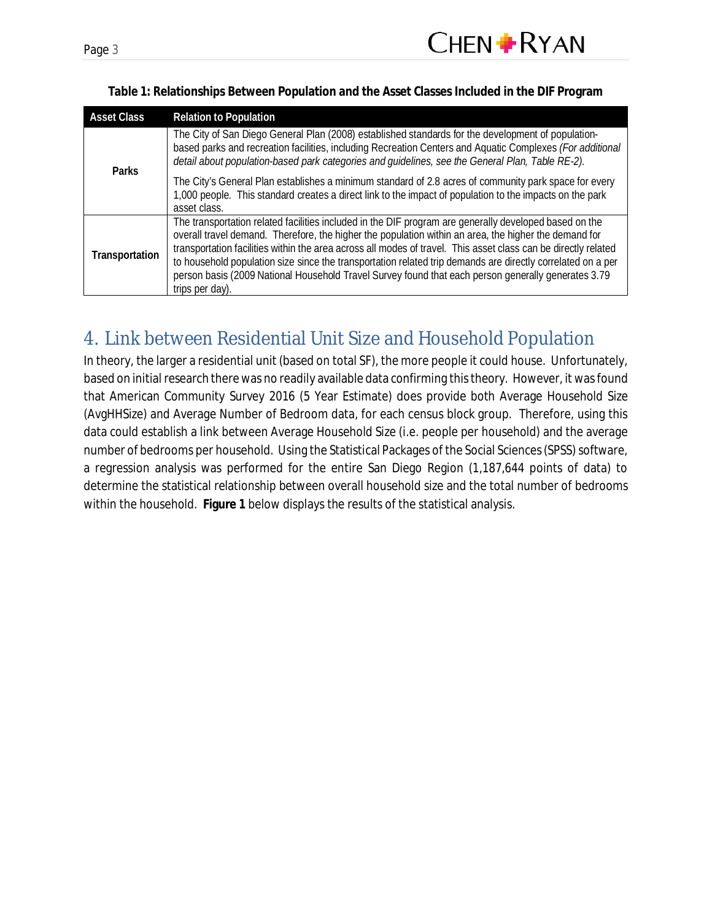| Page. |  |
|-------|--|
|       |  |

| <b>Asset Class</b> | <b>Relation to Population</b>                                                                                                                                                                                                                                                                                                                                                                                                                                                                                                                                              |
|--------------------|----------------------------------------------------------------------------------------------------------------------------------------------------------------------------------------------------------------------------------------------------------------------------------------------------------------------------------------------------------------------------------------------------------------------------------------------------------------------------------------------------------------------------------------------------------------------------|
| Parks              | The City of San Diego General Plan (2008) established standards for the development of population-<br>based parks and recreation facilities, including Recreation Centers and Aquatic Complexes (For additional<br>detail about population-based park categories and guidelines, see the General Plan, Table RE-2).                                                                                                                                                                                                                                                        |
|                    | The City's General Plan establishes a minimum standard of 2.8 acres of community park space for every<br>1,000 people. This standard creates a direct link to the impact of population to the impacts on the park<br>asset class.                                                                                                                                                                                                                                                                                                                                          |
| Transportation     | The transportation related facilities included in the DIF program are generally developed based on the<br>overall travel demand. Therefore, the higher the population within an area, the higher the demand for<br>transportation facilities within the area across all modes of travel. This asset class can be directly related<br>to household population size since the transportation related trip demands are directly correlated on a per<br>person basis (2009 National Household Travel Survey found that each person generally generates 3.79<br>trips per day). |

**Table 1: Relationships Between Population and the Asset Classes Included in the DIF Program**

# 4. Link between Residential Unit Size and Household Population

In theory, the larger a residential unit (based on total SF), the more people it could house. Unfortunately, based on initial research there was no readily available data confirming this theory. However, it was found that American Community Survey 2016 (5 Year Estimate) does provide both Average Household Size (AvgHHSize) and Average Number of Bedroom data, for each census block group. Therefore, using this data could establish a link between Average Household Size (i.e. people per household) and the average number of bedrooms per household. Using the Statistical Packages of the Social Sciences (SPSS) software, a regression analysis was performed for the entire San Diego Region (1,187,644 points of data) to determine the statistical relationship between overall household size and the total number of bedrooms within the household. **Figure 1** below displays the results of the statistical analysis.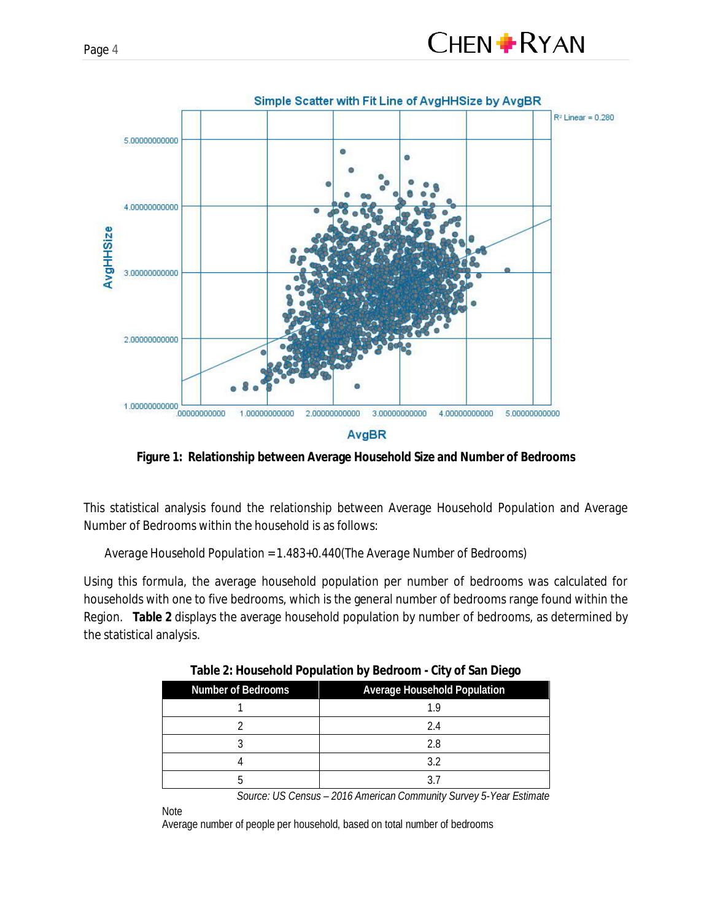



**Figure 1: Relationship between Average Household Size and Number of Bedrooms**

This statistical analysis found the relationship between Average Household Population and Average Number of Bedrooms within the household is as follows:

*Average Household Population = 1.483+0.440(The Average Number of Bedrooms)*

Using this formula, the average household population per number of bedrooms was calculated for households with one to five bedrooms, which is the general number of bedrooms range found within the Region. **Table 2** displays the average household population by number of bedrooms, as determined by the statistical analysis.

| Number of Bedrooms | Average Household Population |
|--------------------|------------------------------|
|                    | 1.9                          |
|                    | 2.4                          |
|                    | 2.8                          |
|                    | 3.2                          |
|                    |                              |

**Table 2: Household Population by Bedroom - City of San Diego**

*Source: US Census – 2016 American Community Survey 5-Year Estimate*

Note

Average number of people per household, based on total number of bedrooms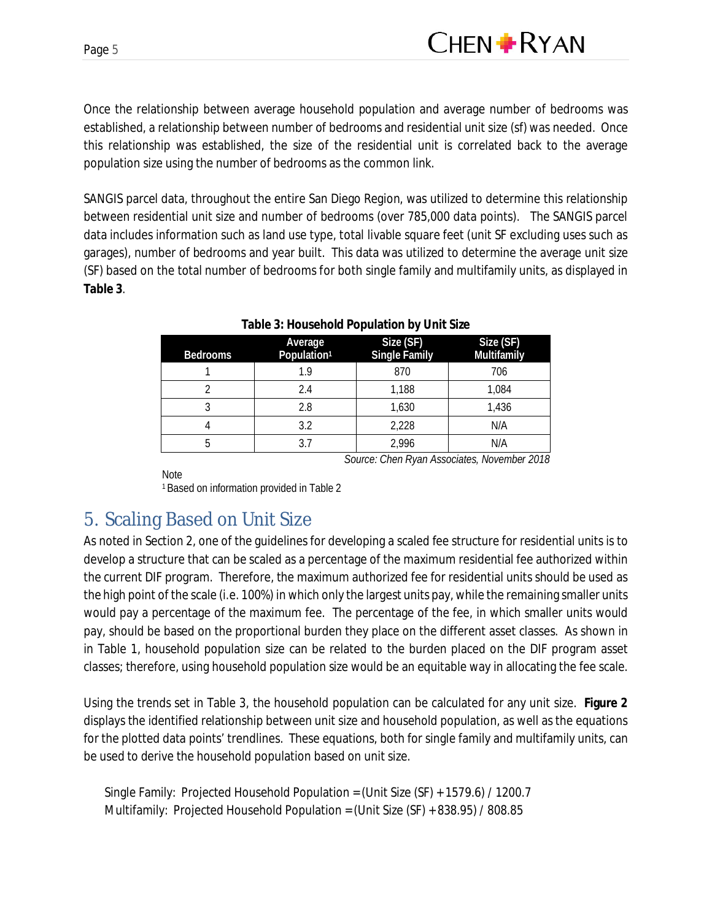Once the relationship between average household population and average number of bedrooms was established, a relationship between number of bedrooms and residential unit size (sf) was needed. Once this relationship was established, the size of the residential unit is correlated back to the average population size using the number of bedrooms as the common link.

SANGIS parcel data, throughout the entire San Diego Region, was utilized to determine this relationship between residential unit size and number of bedrooms (over 785,000 data points). The SANGIS parcel data includes information such as land use type, total livable square feet (unit SF excluding uses such as garages), number of bedrooms and year built. This data was utilized to determine the average unit size (SF) based on the total number of bedrooms for both single family and multifamily units, as displayed in **Table 3**.

| <b>Bedrooms</b> | Average<br>Population <sup>1</sup> | Size (SF)<br><b>Single Family</b> | Size (SF)<br>Multifamily                    |
|-----------------|------------------------------------|-----------------------------------|---------------------------------------------|
|                 | 1.9                                | 870                               | 706                                         |
|                 | 2.4                                | 1,188                             | 1,084                                       |
| 3               | 2.8                                | 1,630                             | 1,436                                       |
| 4               | 3.2                                | 2,228                             | N/A                                         |
| 5               | 3.7                                | 2,996                             | N/A                                         |
|                 |                                    |                                   | Source: Chen Ryan Associates, November 2018 |

#### **Table 3: Household Population by Unit Size**

**Note** 

<sup>1</sup>Based on information provided in Table 2

### 5. Scaling Based on Unit Size

As noted in Section 2, one of the guidelines for developing a scaled fee structure for residential units is to develop a structure that can be scaled as a percentage of the maximum residential fee authorized within the current DIF program. Therefore, the maximum authorized fee for residential units should be used as the high point of the scale (i.e. 100%) in which only the largest units pay, while the remaining smaller units would pay a percentage of the maximum fee. The percentage of the fee, in which smaller units would pay, should be based on the proportional burden they place on the different asset classes. As shown in in Table 1, household population size can be related to the burden placed on the DIF program asset classes; therefore, using household population size would be an equitable way in allocating the fee scale.

Using the trends set in Table 3, the household population can be calculated for any unit size. **Figure 2** displays the identified relationship between unit size and household population, as well as the equations for the plotted data points' trendlines. These equations, both for single family and multifamily units, can be used to derive the household population based on unit size.

Single Family: Projected Household Population = (Unit Size (SF) + 1579.6) / 1200.7 Multifamily: Projected Household Population = (Unit Size (SF) + 838.95) / 808.85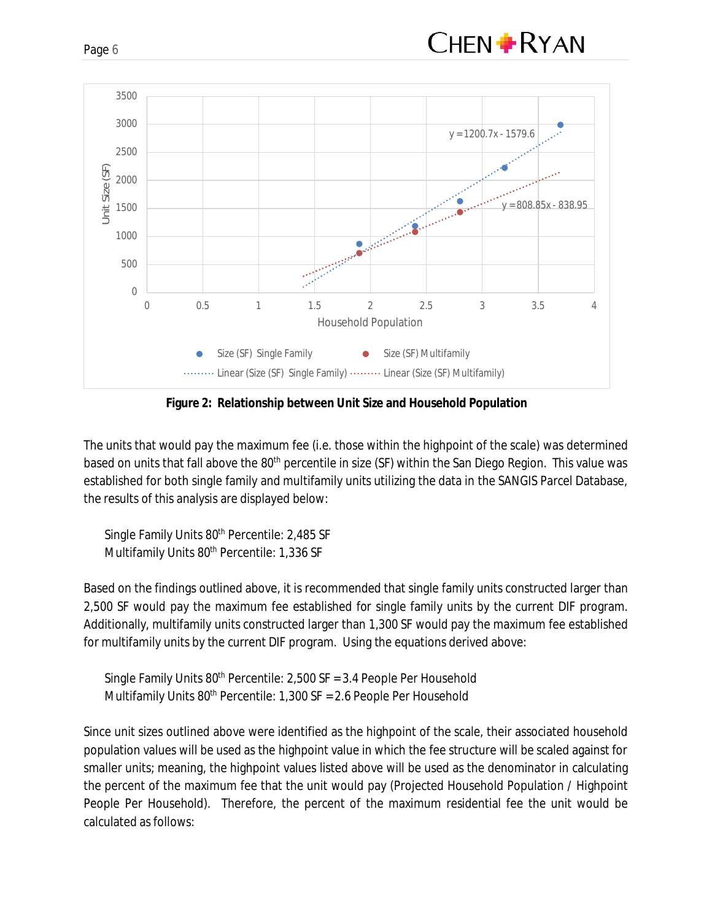



**Figure 2: Relationship between Unit Size and Household Population**

The units that would pay the maximum fee (i.e. those within the highpoint of the scale) was determined based on units that fall above the 80<sup>th</sup> percentile in size (SF) within the San Diego Region. This value was established for both single family and multifamily units utilizing the data in the SANGIS Parcel Database, the results of this analysis are displayed below:

Single Family Units 80<sup>th</sup> Percentile: 2,485 SF Multifamily Units 80<sup>th</sup> Percentile: 1,336 SF

Based on the findings outlined above, it is recommended that single family units constructed larger than 2,500 SF would pay the maximum fee established for single family units by the current DIF program. Additionally, multifamily units constructed larger than 1,300 SF would pay the maximum fee established for multifamily units by the current DIF program. Using the equations derived above:

Single Family Units  $80<sup>th</sup>$  Percentile: 2,500 SF = 3.4 People Per Household Multifamily Units 80<sup>th</sup> Percentile: 1,300 SF = 2.6 People Per Household

Since unit sizes outlined above were identified as the highpoint of the scale, their associated household population values will be used as the highpoint value in which the fee structure will be scaled against for smaller units; meaning, the highpoint values listed above will be used as the denominator in calculating the percent of the maximum fee that the unit would pay (Projected Household Population / Highpoint People Per Household). Therefore, the percent of the maximum residential fee the unit would be calculated as follows: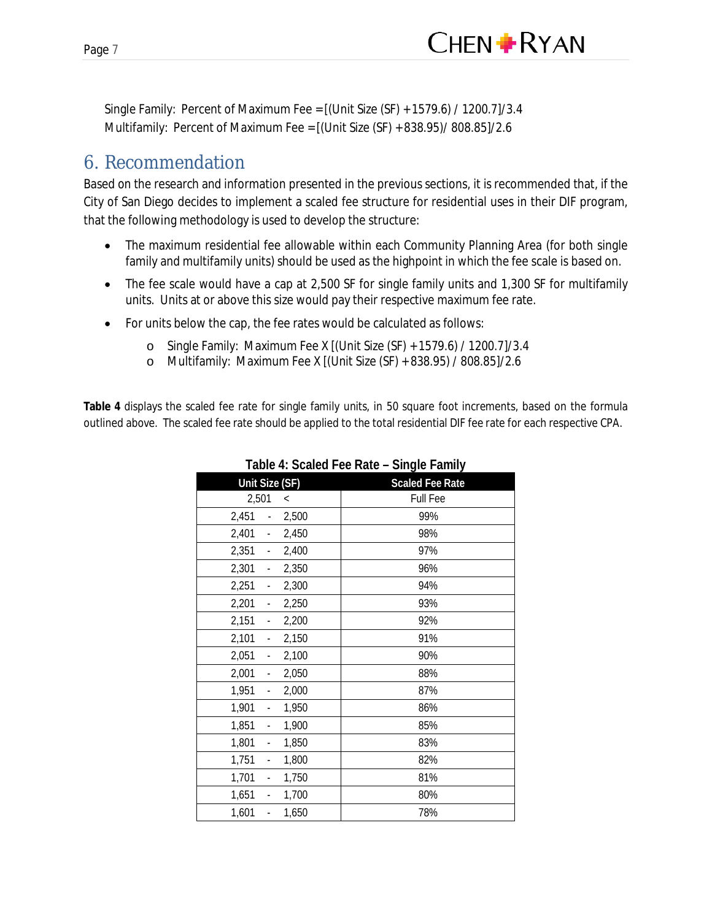

Single Family: Percent of Maximum Fee = [(Unit Size (SF) + 1579.6) / 1200.7]/3.4 Multifamily: Percent of Maximum Fee = [(Unit Size (SF) + 838.95)/ 808.85]/2.6

#### 6. Recommendation

Based on the research and information presented in the previous sections, it is recommended that, if the City of San Diego decides to implement a scaled fee structure for residential uses in their DIF program, that the following methodology is used to develop the structure:

- The maximum residential fee allowable within each Community Planning Area (for both single family and multifamily units) should be used as the highpoint in which the fee scale is based on.
- · The fee scale would have a cap at 2,500 SF for single family units and 1,300 SF for multifamily units. Units at or above this size would pay their respective maximum fee rate.
- · For units below the cap, the fee rates would be calculated as follows:
	- o Single Family: Maximum Fee X [(Unit Size (SF) + 1579.6) / 1200.7]/3.4
	- o Multifamily: Maximum Fee X [(Unit Size (SF) + 838.95) / 808.85]/2.6

**Table 4** displays the scaled fee rate for single family units, in 50 square foot increments, based on the formula outlined above. The scaled fee rate should be applied to the total residential DIF fee rate for each respective CPA.

|                                            | Fable 4. Ocaled Fee Kate – Olligie Family |
|--------------------------------------------|-------------------------------------------|
| Unit Size (SF)                             | <b>Scaled Fee Rate</b>                    |
| 2,501<br>$\,<\,$                           | Full Fee                                  |
| 2,451<br>2,500<br>$\frac{1}{2}$            | 99%                                       |
| 2,401<br>2,450<br>÷.                       | 98%                                       |
| 2,351<br>2,400<br>$\blacksquare$           | 97%                                       |
| 2,301<br>2,350<br>$\blacksquare$           | 96%                                       |
| 2,251<br>2,300<br>$\blacksquare$           | 94%                                       |
| 2,201<br>2,250<br>$\blacksquare$           | 93%                                       |
| 2,151<br>2,200<br>÷,                       | 92%                                       |
| 2,101<br>2,150<br>$\blacksquare$           | 91%                                       |
| 2,051<br>2,100<br>$\blacksquare$           | 90%                                       |
| 2,001<br>2,050<br>$\blacksquare$           | 88%                                       |
| 1,951<br>2,000<br>$\overline{\phantom{a}}$ | 87%                                       |
| 1,901<br>1,950<br>L,                       | 86%                                       |
| 1,851<br>1,900<br>$\overline{\phantom{a}}$ | 85%                                       |
| 1,801<br>1,850<br>$\overline{\phantom{a}}$ | 83%                                       |
| 1,751<br>1,800<br>L,                       | 82%                                       |
| 1,701<br>1,750<br>$\blacksquare$           | 81%                                       |
| 1,651<br>1,700<br>-                        | 80%                                       |
| 1,601<br>1,650<br>$\overline{\phantom{a}}$ | 78%                                       |

**Table 4: Scaled Fee Rate – Single Family**